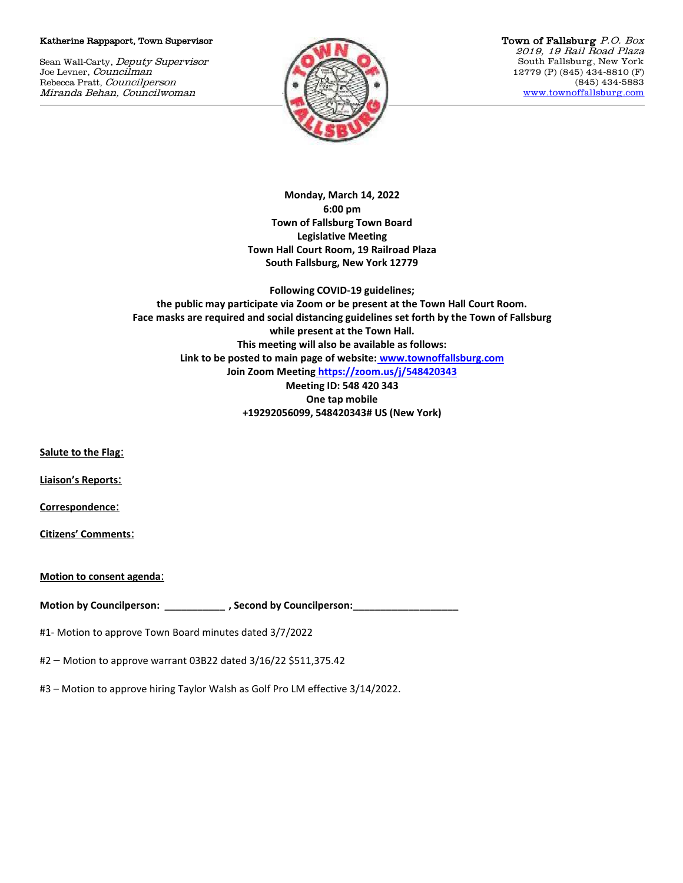## Katherine Rappaport, Town Supervisor

Sean Wall-Carty, Deputy Supervisor Joe Levner, Councilman Rebecca Pratt, Councilperson Miranda Behan, Councilwoman



Town of Fallsburg P.O. Box 2019, 19 Rail Road Plaza South Fallsburg, New York 12779 (P) (845) 434-8810 (F) (845) 434-5883 [www.townoffallsburg.com](http://www.townoffallsburg.com/)

**Monday, March 14, 2022 6:00 pm Town of Fallsburg Town Board Legislative Meeting Town Hall Court Room, 19 Railroad Plaza South Fallsburg, New York 12779**

**Following COVID-19 guidelines; the public may participate via Zoom or be present at the Town Hall Court Room. Face masks are required and social distancing guidelines set forth by the Town of Fallsburg while present at the Town Hall. This meeting will also be available as follows: Link to be posted to main page of website: [www.townoffallsburg.com](http://www.townoffallsburg.com/)  Join Zoom Meeting <https://zoom.us/j/548420343> Meeting ID: 548 420 343 One tap mobile +19292056099, 548420343# US (New York)**

**Salute to the Flag**:

**Liaison's Reports**:

**Correspondence**:

**Citizens' Comments**:

**Motion to consent agenda**:

**Motion by Councilperson: \_\_\_\_\_\_\_\_\_\_\_ , Second by Councilperson:\_\_\_\_\_\_\_\_\_\_\_\_\_\_\_\_\_\_\_**

#1- Motion to approve Town Board minutes dated 3/7/2022

#2 – Motion to approve warrant 03B22 dated 3/16/22 \$511,375.42

#3 – Motion to approve hiring Taylor Walsh as Golf Pro LM effective 3/14/2022.